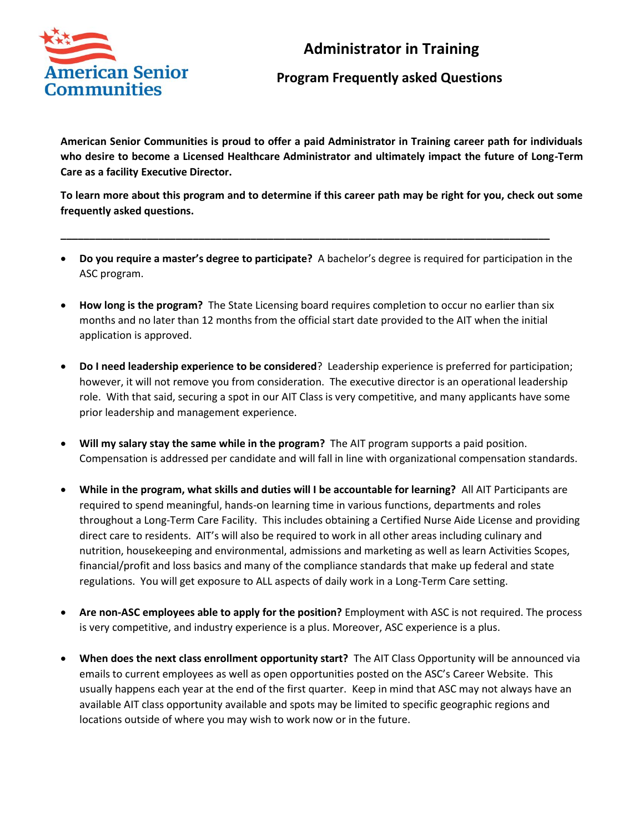

## **Administrator in Training**

## **Program Frequently asked Questions**

**American Senior Communities is proud to offer a paid Administrator in Training career path for individuals who desire to become a Licensed Healthcare Administrator and ultimately impact the future of Long-Term Care as a facility Executive Director.**

**To learn more about this program and to determine if this career path may be right for you, check out some frequently asked questions.** 

• **Do you require a master's degree to participate?** A bachelor's degree is required for participation in the ASC program.

**\_\_\_\_\_\_\_\_\_\_\_\_\_\_\_\_\_\_\_\_\_\_\_\_\_\_\_\_\_\_\_\_\_\_\_\_\_\_\_\_\_\_\_\_\_\_\_\_\_\_\_\_\_\_\_\_\_\_\_\_\_\_\_\_\_\_\_\_\_\_\_\_\_\_\_\_\_\_\_\_\_\_\_\_\_**

- **How long is the program?** The State Licensing board requires completion to occur no earlier than six months and no later than 12 months from the official start date provided to the AIT when the initial application is approved.
- **Do I need leadership experience to be considered**? Leadership experience is preferred for participation; however, it will not remove you from consideration. The executive director is an operational leadership role. With that said, securing a spot in our AIT Class is very competitive, and many applicants have some prior leadership and management experience.
- **Will my salary stay the same while in the program?** The AIT program supports a paid position. Compensation is addressed per candidate and will fall in line with organizational compensation standards.
- **While in the program, what skills and duties will I be accountable for learning?** All AIT Participants are required to spend meaningful, hands-on learning time in various functions, departments and roles throughout a Long-Term Care Facility. This includes obtaining a Certified Nurse Aide License and providing direct care to residents. AIT's will also be required to work in all other areas including culinary and nutrition, housekeeping and environmental, admissions and marketing as well as learn Activities Scopes, financial/profit and loss basics and many of the compliance standards that make up federal and state regulations. You will get exposure to ALL aspects of daily work in a Long-Term Care setting.
- **Are non-ASC employees able to apply for the position?** Employment with ASC is not required. The process is very competitive, and industry experience is a plus. Moreover, ASC experience is a plus.
- **When does the next class enrollment opportunity start?** The AIT Class Opportunity will be announced via emails to current employees as well as open opportunities posted on the ASC's Career Website. This usually happens each year at the end of the first quarter. Keep in mind that ASC may not always have an available AIT class opportunity available and spots may be limited to specific geographic regions and locations outside of where you may wish to work now or in the future.